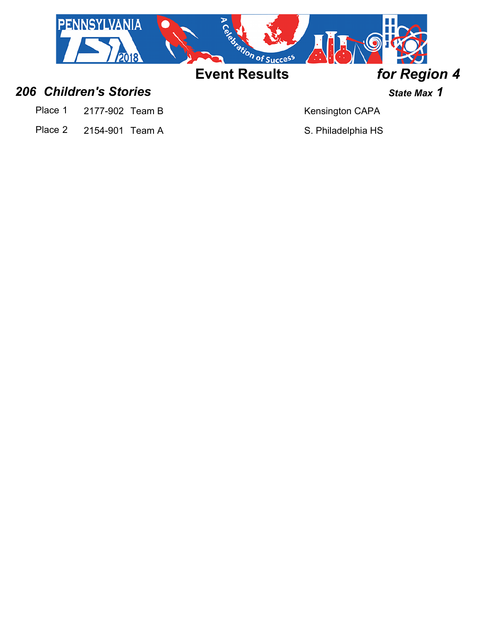

## *206 Children's Stories State Max 1*

- Place 1 2177-902 Team B Kensington CAPA
- Place 2 2154-901 Team A S. Philadelphia HS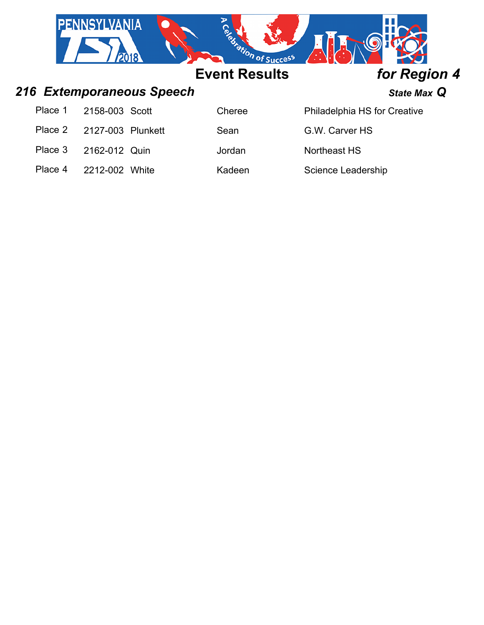|         | <b>PENNSYLVANIA</b> |                           | es ration of Success |                |                              |
|---------|---------------------|---------------------------|----------------------|----------------|------------------------------|
|         |                     |                           | <b>Event Results</b> |                | for Region 4                 |
|         |                     | 216 Extemporaneous Speech |                      |                | State Max Q                  |
| Place 1 | 2158-003 Scott      |                           | Cheree               |                | Philadelphia HS for Creative |
| Place 2 | 2127-003 Plunkett   |                           | Sean                 | G.W. Carver HS |                              |
| Place 3 | 2162-012 Quin       |                           | Jordan               | Northeast HS   |                              |

Place 4 2212-002 White Kadeen Science Leadership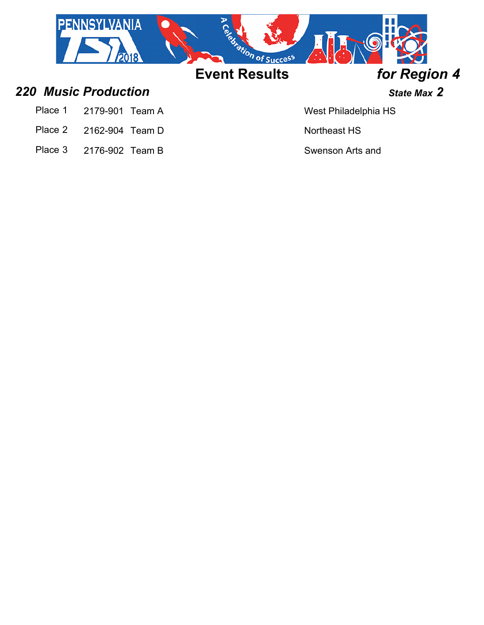

## *220 Music Production State Max 2*

- Place 1 2179-901 Team A West Philadelphia HS
- Place 2 2162-904 Team D Northeast HS
- Place 3 2176-902 Team B Swenson Arts and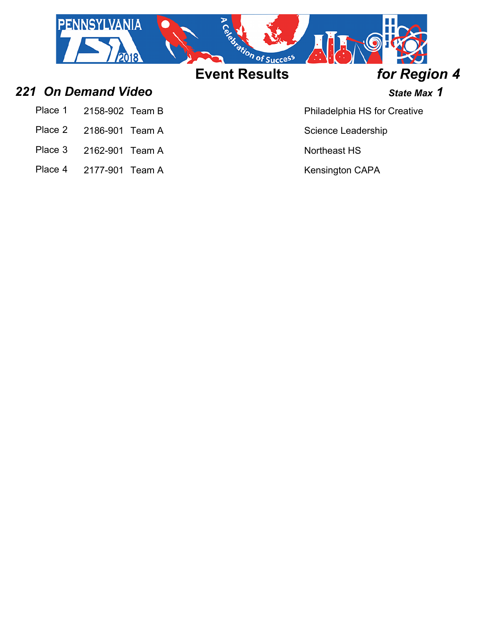

## *221 On Demand Video State Max 1*

- Place 1 2158-902 Team B Place 1 2158-902 Team B
- Place 2 2186-901 Team A Science Leadership
- Place 3 2162-901 Team A
- Place 4 2177-901 Team A Kensington CAPA

& Performing Arts

Northeast HS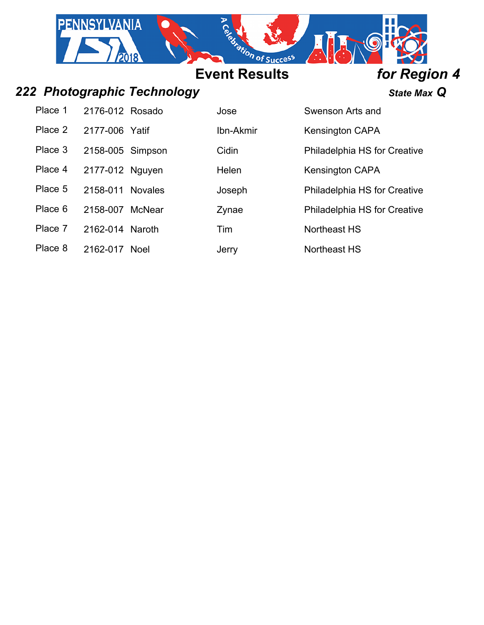

# *222 Photographic Technology State Max Q*

Place 1 2176-012 Rosado Jose Jose Swenson Arts and Place 2 2177-006 Yatif **Ibn-Akmir** Ibn-Akmir Kensington CAPA Place 3 2158-005 Simpson Cidin Philadelphia HS for Creative Place 4 2177-012 Nguyen Helen Place 5 2158-011 Novales Joseph Philadelphia HS for Creative Place 6 2158-007 McNear 2ynae Philadelphia HS for Creative Place 7 2162-014 Naroth Tim

Technology HS Kensington CAPA & Performing Arts Northeast HS

Place 8 2162-017 Noel Jerry Jerry Northeast HS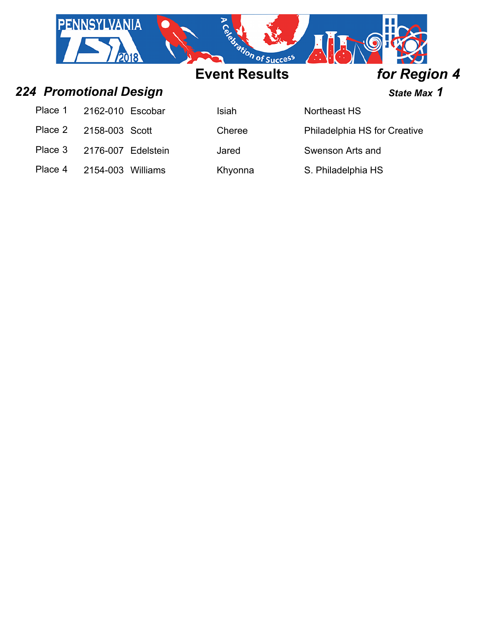

| Place 1 2162-010 Escobar   | <b>Isiah</b> |
|----------------------------|--------------|
| Place 2 2158-003 Scott     | Chere        |
| Place 3 2176-007 Edelstein | Jared        |

**Place 1 2162-2162** Northeast HS

Cheree 2158-2 215-2 2158-2 2158-2 2158-2 2158-2 2158-2 2158-2 2158-2 2158-2 2158-2 2158-2 2158-2 215

Swenson Arts and

Technology HS Place 4 2154-003 Williams Khyonna S. Philadelphia HS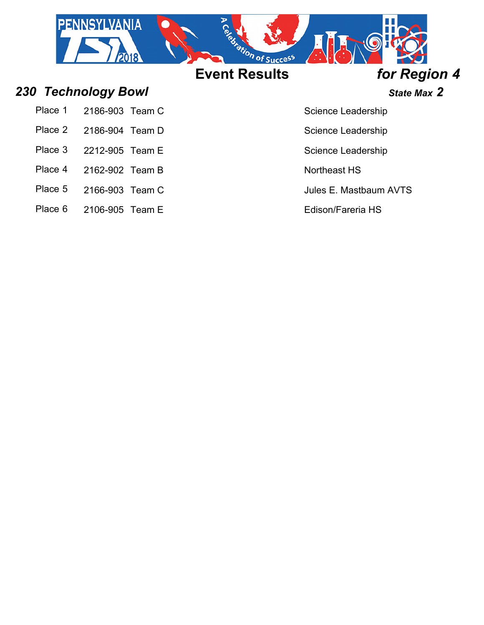

*230 Technology Bowl State Max 2*

- Place 1 2186-903 Team C Science Leadership
- Place 2 2186-904 Team D Science Leadership
- 
- 
- Place 4 2162-902 Team B
- Place 5 2166-903 Team C 3 3 Jules E. Mastbaum AVTS
- Place 6 2106-905 Team E Edison/Fareria HS

 $\Delta$  at  $C$  at  $C$  at  $C$  at  $C$ 

Academy at Center City Place 3 2212-905 Team E Science Leadership

Northeast HS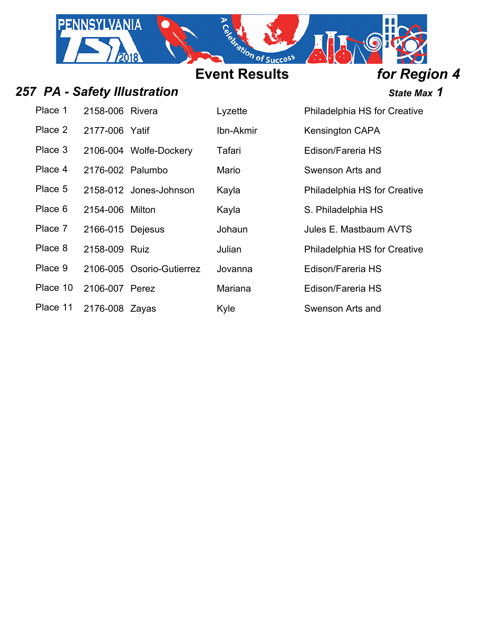

## 257 PA - Safety Illustration *257 PA - Safety Illustration*

| Place 1  | 2158-006 Rivera  |                           | Lyzette   | Philadelphia HS for Creative |
|----------|------------------|---------------------------|-----------|------------------------------|
| Place 2  | 2177-006 Yatif   |                           | Ibn-Akmir | Kensington CAPA              |
| Place 3  |                  | 2106-004 Wolfe-Dockery    | Tafari    | Edison/Fareria HS            |
| Place 4  | 2176-002 Palumbo |                           | Mario     | Swenson Arts and             |
| Place 5  |                  | 2158-012 Jones-Johnson    | Kayla     | Philadelphia HS for Creative |
| Place 6  | 2154-006 Milton  |                           | Kayla     | S. Philadelphia HS           |
| Place 7  | 2166-015 Dejesus |                           | Johaun    | Jules E. Mastbaum AVTS       |
| Place 8  | 2158-009 Ruiz    |                           | Julian    | Philadelphia HS for Creative |
| Place 9  |                  | 2106-005 Osorio-Gutierrez | Jovanna   | Edison/Fareria HS            |
| Place 10 | 2106-007 Perez   |                           | Mariana   | Edison/Fareria HS            |
| Place 11 | 2176-008 Zayas   |                           | Kyle      | Swenson Arts and             |